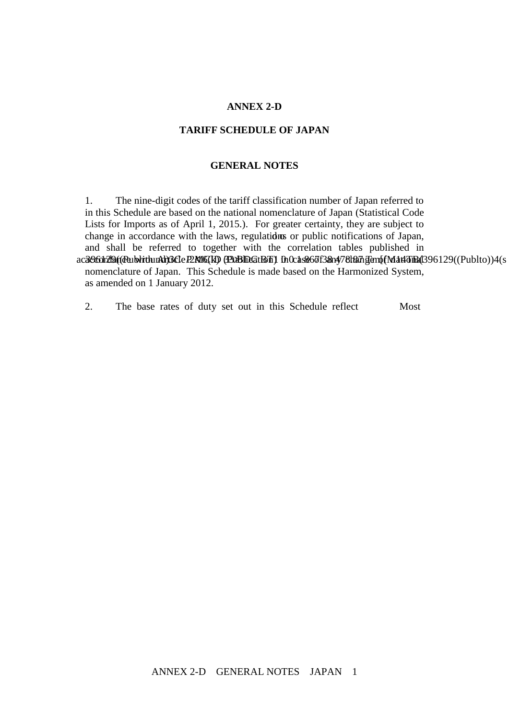#### **ANNEX 2-D**

## **TARIFF SCHEDULE OF JAPAN**

## **GENERAL NOTES**

1. The nine-digit codes of the tariff classification number of Japan referred to in this Schedule are based on the national nomenclature of Japan (Statistical Code Lists for Imports as of April 1, 2015.). For greater certainty, they are subject to change in accordance with the laws, regulations or public notifications of Japan, and shall be referred to together with the correlation tables published in accordance with Article 2.16(k) (Publication) in case of any change of national nomenclature of Japan. This Schedule is made based on the Harmonized System, as amended on 1 January 2012.

2. The base rates of duty set out in this Schedule reflect Most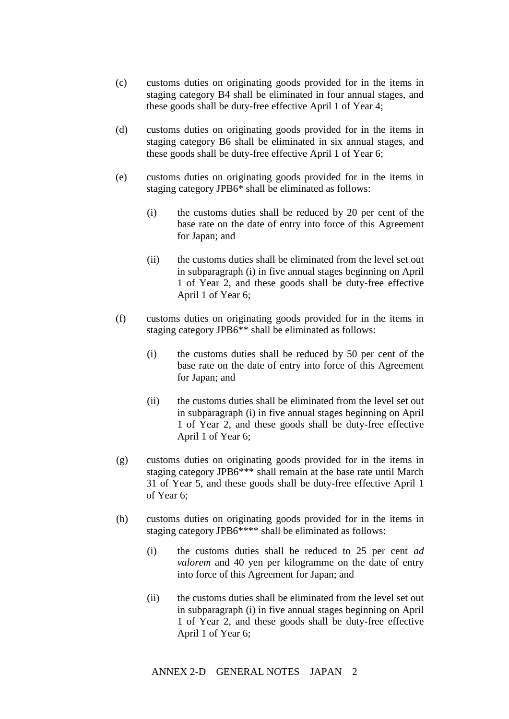- (c) customs duties on originating goods provided for in the items in staging category B4 shall be eliminated in four annual stages, and these goods shall be duty-free effective April 1 of Year 4;
- (d) customs duties on originating goods provided for in the items in staging category B6 shall be eliminated in six annual stages, and these goods shall be duty-free effective April 1 of Year 6;
- (e) customs duties on originating goods provided for in the items in staging category JPB6\* shall be eliminated as follows:
	- (i) the customs duties shall be reduced by 20 per cent of the base rate on the date of entry into force of this Agreement for Japan; and
	- (ii) the customs duties shall be eliminated from the level set out in subparagraph (i) in five annual stages beginning on April 1 of Year 2, and these goods shall be duty-free effective April 1 of Year 6;
- (f) customs duties on originating goods provided for in the items in staging category JPB6\*\* shall be eliminated as follows:
	- (i) the customs duties shall be reduced by 50 per cent of the base rate on the date of entry into force of this Agreement for Japan; and
	- (ii) the customs duties shall be eliminated from the level set out in subparagraph (i) in five annual stages beginning on April 1 of Year 2, and these goods shall be duty-free effective April 1 of Year 6;
- (g) customs duties on originating goods provided for in the items in staging category JPB6\*\*\* shall remain at the base rate until March 31 of Year 5, and these goods shall be duty-free effective April 1 of Year 6;
- (h) customs duties on originating goods provided for in the items in staging category JPB6\*\*\*\* shall be eliminated as follows:
	- (i) the customs duties shall be reduced to 25 per cent *ad valorem* and 40 yen per kilogramme on the date of entry into force of this Agreement for Japan; and
	- (ii) the customs duties shall be eliminated from the level set out in subparagraph (i) in five annual stages beginning on April 1 of Year 2, and these goods shall be duty-free effective April 1 of Year 6;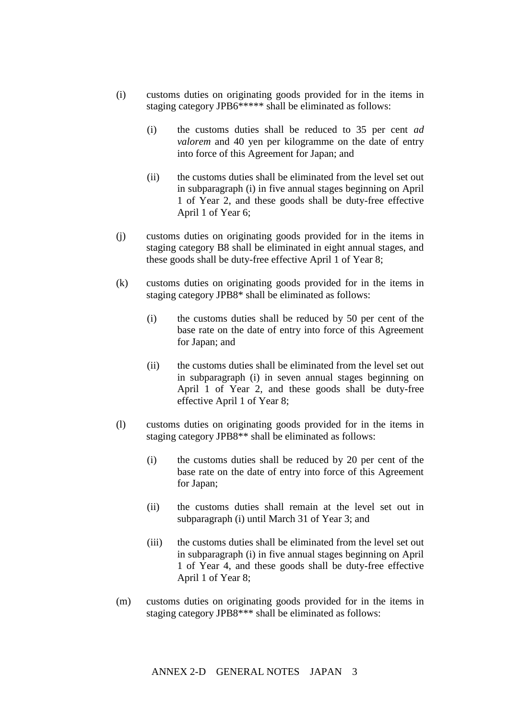- (i) customs duties on originating goods provided for in the items in staging category JPB6\*\*\*\*\* shall be eliminated as follows:
	- (i) the customs duties shall be reduced to 35 per cent *ad valorem* and 40 yen per kilogramme on the date of entry into force of this Agreement for Japan; and
	- (ii) the customs duties shall be eliminated from the level set out in subparagraph (i) in five annual stages beginning on April 1 of Year 2, and these goods shall be duty-free effective April 1 of Year 6;
- (j) customs duties on originating goods provided for in the items in staging category B8 shall be eliminated in eight annual stages, and these goods shall be duty-free effective April 1 of Year 8;
- (k) customs duties on originating goods provided for in the items in staging category JPB8\* shall be eliminated as follows:
	- (i) the customs duties shall be reduced by 50 per cent of the base rate on the date of entry into force of this Agreement for Japan; and
	- (ii) the customs duties shall be eliminated from the level set out in subparagraph (i) in seven annual stages beginning on April 1 of Year 2, and these goods shall be duty-free effective April 1 of Year 8;
- (l) customs duties on originating goods provided for in the items in staging category JPB8\*\* shall be eliminated as follows:
	- (i) the customs duties shall be reduced by 20 per cent of the base rate on the date of entry into force of this Agreement for Japan;
	- (ii) the customs duties shall remain at the level set out in subparagraph (i) until March 31 of Year 3; and
	- (iii) the customs duties shall be eliminated from the level set out in subparagraph (i) in five annual stages beginning on April 1 of Year 4, and these goods shall be duty-free effective April 1 of Year 8;
- (m) customs duties on originating goods provided for in the items in staging category JPB8\*\*\* shall be eliminated as follows: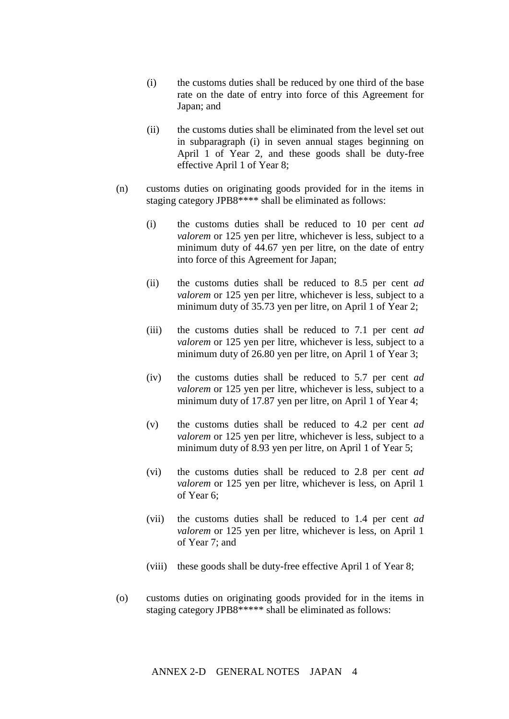- (i) the customs duties shall be reduced by one third of the base rate on the date of entry into force of this Agreement for Japan; and
- (ii) the customs duties shall be eliminated from the level set out in subparagraph (i) in seven annual stages beginning on April 1 of Year 2, and these goods shall be duty-free effective April 1 of Year 8;
- (n) customs duties on originating goods provided for in the items in staging category JPB8\*\*\*\* shall be eliminated as follows:
	- (i) the customs duties shall be reduced to 10 per cent *ad valorem* or 125 yen per litre, whichever is less, subject to a minimum duty of 44.67 yen per litre, on the date of entry into force of this Agreement for Japan;
	- (ii) the customs duties shall be reduced to 8.5 per cent *ad valorem* or 125 yen per litre, whichever is less, subject to a minimum duty of 35.73 yen per litre, on April 1 of Year 2;
	- (iii) the customs duties shall be reduced to 7.1 per cent *ad valorem* or 125 yen per litre, whichever is less, subject to a minimum duty of 26.80 yen per litre, on April 1 of Year 3;
	- (iv) the customs duties shall be reduced to 5.7 per cent *ad valorem* or 125 yen per litre, whichever is less, subject to a minimum duty of 17.87 yen per litre, on April 1 of Year 4;
	- (v) the customs duties shall be reduced to 4.2 per cent *ad valorem* or 125 yen per litre, whichever is less, subject to a minimum duty of 8.93 yen per litre, on April 1 of Year 5;
	- (vi) the customs duties shall be reduced to 2.8 per cent *ad valorem* or 125 yen per litre, whichever is less, on April 1 of Year 6;
	- (vii) the customs duties shall be reduced to 1.4 per cent *ad valorem* or 125 yen per litre, whichever is less, on April 1 of Year 7; and
	- (viii) these goods shall be duty-free effective April 1 of Year 8;
- (o) customs duties on originating goods provided for in the items in staging category JPB8\*\*\*\*\* shall be eliminated as follows: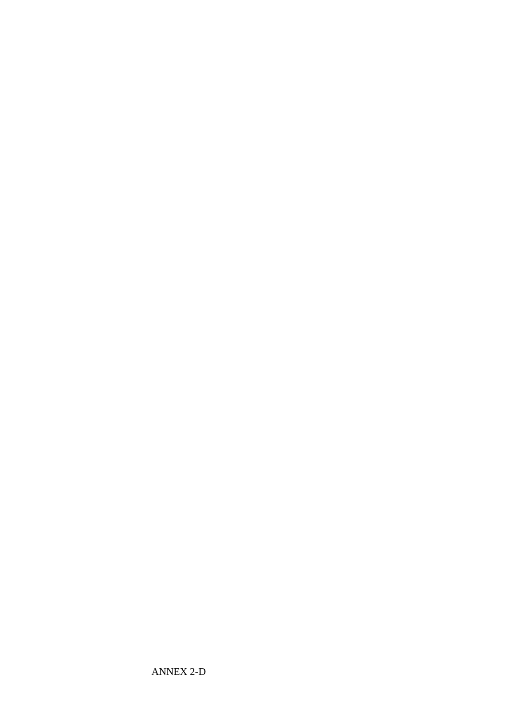ANNEX 2-D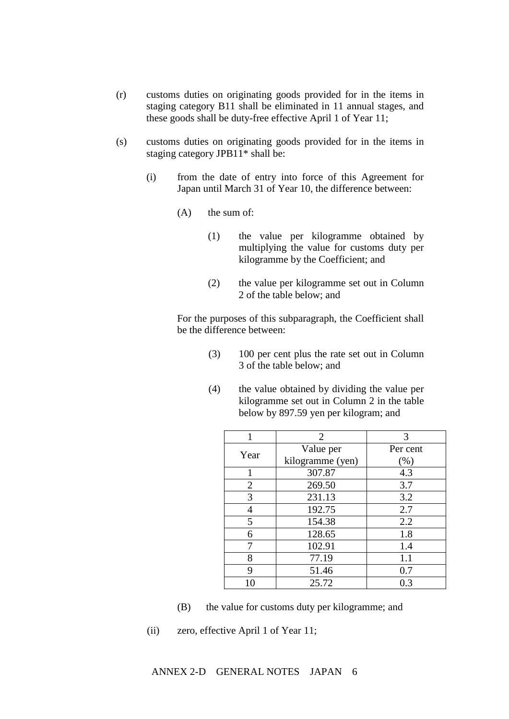- (r) customs duties on originating goods provided for in the items in staging category B11 shall be eliminated in 11 annual stages, and these goods shall be duty-free effective April 1 of Year 11;
- (s) customs duties on originating goods provided for in the items in staging category JPB11\* shall be:
	- (i) from the date of entry into force of this Agreement for Japan until March 31 of Year 10, the difference between:
		- (A) the sum of:
			- (1) the value per kilogramme obtained by multiplying the value for customs duty per kilogramme by the Coefficient; and
			- (2) the value per kilogramme set out in Column 2 of the table below; and

For the purposes of this subparagraph, the Coefficient shall be the difference between:

- (3) 100 per cent plus the rate set out in Column 3 of the table below; and
- (4) the value obtained by dividing the value per kilogramme set out in Column 2 in the table below by 897.59 yen per kilogram; and

| 1              | 2                | 3        |
|----------------|------------------|----------|
| Year           | Value per        | Per cent |
|                | kilogramme (yen) | (% )     |
| 1              | 307.87           | 4.3      |
| $\overline{2}$ | 269.50           | 3.7      |
| 3              | 231.13           | 3.2      |
| 4              | 192.75           | 2.7      |
| 5              | 154.38           | 2.2      |
| 6              | 128.65           | 1.8      |
| 7              | 102.91           | 1.4      |
| 8              | 77.19            | 1.1      |
| 9              | 51.46            | 0.7      |
| 10             | 25.72            | 0.3      |

- (B) the value for customs duty per kilogramme; and
- (ii) zero, effective April 1 of Year 11;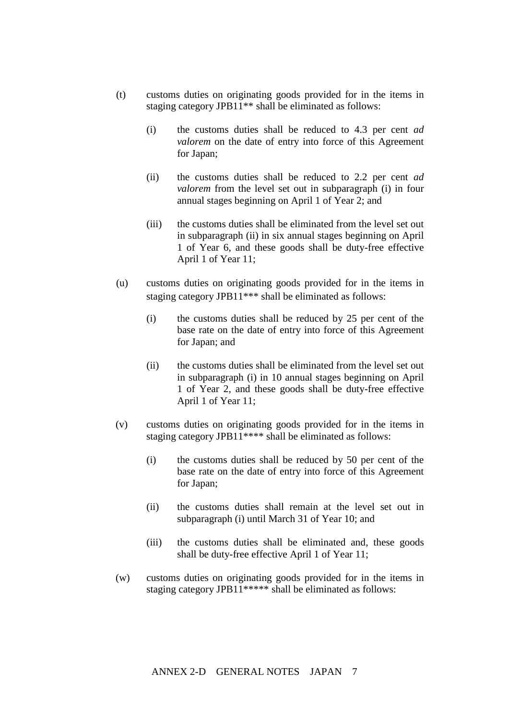- (t) customs duties on originating goods provided for in the items in staging category JPB11\*\* shall be eliminated as follows:
	- (i) the customs duties shall be reduced to 4.3 per cent *ad valorem* on the date of entry into force of this Agreement for Japan;
	- (ii) the customs duties shall be reduced to 2.2 per cent *ad valorem* from the level set out in subparagraph (i) in four annual stages beginning on April 1 of Year 2; and
	- (iii) the customs duties shall be eliminated from the level set out in subparagraph (ii) in six annual stages beginning on April 1 of Year 6, and these goods shall be duty-free effective April 1 of Year 11;
- (u) customs duties on originating goods provided for in the items in staging category JPB11<sup>\*\*\*</sup> shall be eliminated as follows:
	- (i) the customs duties shall be reduced by 25 per cent of the base rate on the date of entry into force of this Agreement for Japan; and
	- (ii) the customs duties shall be eliminated from the level set out in subparagraph (i) in 10 annual stages beginning on April 1 of Year 2, and these goods shall be duty-free effective April 1 of Year 11;
- (v) customs duties on originating goods provided for in the items in staging category JPB11\*\*\*\* shall be eliminated as follows:
	- (i) the customs duties shall be reduced by 50 per cent of the base rate on the date of entry into force of this Agreement for Japan;
	- (ii) the customs duties shall remain at the level set out in subparagraph (i) until March 31 of Year 10; and
	- (iii) the customs duties shall be eliminated and, these goods shall be duty-free effective April 1 of Year 11;
- (w) customs duties on originating goods provided for in the items in staging category JPB11\*\*\*\*\* shall be eliminated as follows: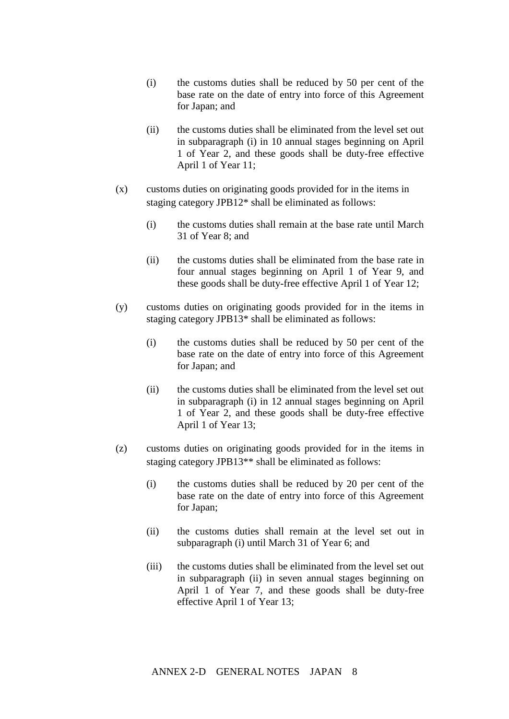- (i) the customs duties shall be reduced by 50 per cent of the base rate on the date of entry into force of this Agreement for Japan; and
- (ii) the customs duties shall be eliminated from the level set out in subparagraph (i) in 10 annual stages beginning on April 1 of Year 2, and these goods shall be duty-free effective April 1 of Year 11;
- (x) customs duties on originating goods provided for in the items in staging category JPB12\* shall be eliminated as follows:
	- (i) the customs duties shall remain at the base rate until March 31 of Year 8; and
	- (ii) the customs duties shall be eliminated from the base rate in four annual stages beginning on April 1 of Year 9, and these goods shall be duty-free effective April 1 of Year 12;
- (y) customs duties on originating goods provided for in the items in staging category JPB13\* shall be eliminated as follows:
	- (i) the customs duties shall be reduced by 50 per cent of the base rate on the date of entry into force of this Agreement for Japan; and
	- (ii) the customs duties shall be eliminated from the level set out in subparagraph (i) in 12 annual stages beginning on April 1 of Year 2, and these goods shall be duty-free effective April 1 of Year 13;
- (z) customs duties on originating goods provided for in the items in staging category JPB13\*\* shall be eliminated as follows:
	- (i) the customs duties shall be reduced by 20 per cent of the base rate on the date of entry into force of this Agreement for Japan;
	- (ii) the customs duties shall remain at the level set out in subparagraph (i) until March 31 of Year 6; and
	- (iii) the customs duties shall be eliminated from the level set out in subparagraph (ii) in seven annual stages beginning on April 1 of Year 7, and these goods shall be duty-free effective April 1 of Year 13;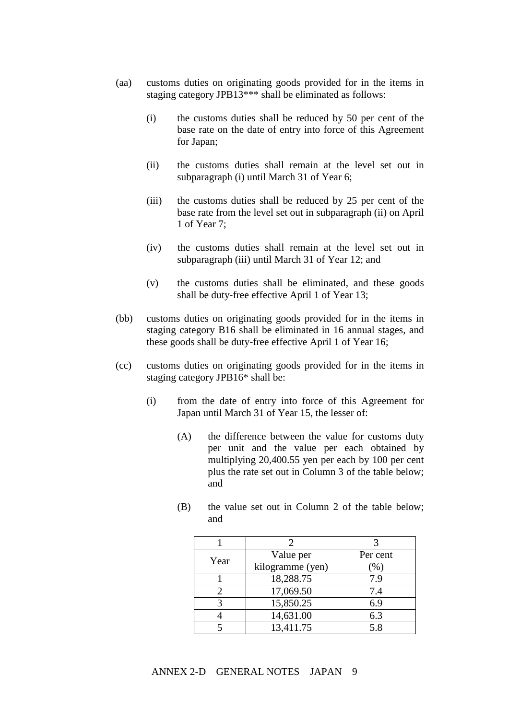- (aa) customs duties on originating goods provided for in the items in staging category JPB13\*\*\* shall be eliminated as follows:
	- (i) the customs duties shall be reduced by 50 per cent of the base rate on the date of entry into force of this Agreement for Japan;
	- (ii) the customs duties shall remain at the level set out in subparagraph (i) until March 31 of Year 6;
	- (iii) the customs duties shall be reduced by 25 per cent of the base rate from the level set out in subparagraph (ii) on April 1 of Year 7;
	- (iv) the customs duties shall remain at the level set out in subparagraph (iii) until March 31 of Year 12; and
	- (v) the customs duties shall be eliminated, and these goods shall be duty-free effective April 1 of Year 13;
- (bb) customs duties on originating goods provided for in the items in staging category B16 shall be eliminated in 16 annual stages, and these goods shall be duty-free effective April 1 of Year 16;
- (cc) customs duties on originating goods provided for in the items in staging category JPB16\* shall be:
	- (i) from the date of entry into force of this Agreement for Japan until March 31 of Year 15, the lesser of:
		- (A) the difference between the value for customs duty per unit and the value per each obtained by multiplying 20,400.55 yen per each by 100 per cent plus the rate set out in Column 3 of the table below; and
		- (B) the value set out in Column 2 of the table below; and

| Year | Value per        | Per cent |
|------|------------------|----------|
|      | kilogramme (yen) | $(\%)$   |
|      | 18,288.75        | 7.9      |
|      | 17,069.50        | 7.4      |
|      | 15,850.25        | 6.9      |
|      | 14,631.00        | 6.3      |
|      | 13,411.75        | 5.8      |

# ANNEX 2-D GENERAL NOTES JAPAN 9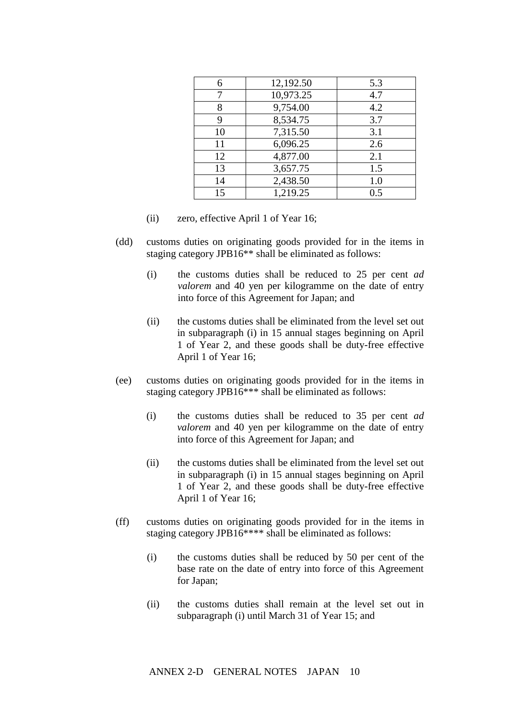| 6  | 12,192.50 | 5.3 |
|----|-----------|-----|
|    | 10,973.25 | 4.7 |
| 8  | 9,754.00  | 4.2 |
| 9  | 8,534.75  | 3.7 |
| 10 | 7,315.50  | 3.1 |
| 11 | 6,096.25  | 2.6 |
| 12 | 4,877.00  | 2.1 |
| 13 | 3,657.75  | 1.5 |
| 14 | 2,438.50  | 1.0 |
| 15 | 1,219.25  | 0.5 |

- (ii) zero, effective April 1 of Year 16;
- (dd) customs duties on originating goods provided for in the items in staging category JPB16\*\* shall be eliminated as follows:
	- (i) the customs duties shall be reduced to 25 per cent *ad valorem* and 40 yen per kilogramme on the date of entry into force of this Agreement for Japan; and
	- (ii) the customs duties shall be eliminated from the level set out in subparagraph (i) in 15 annual stages beginning on April 1 of Year 2, and these goods shall be duty-free effective April 1 of Year 16;
- (ee) customs duties on originating goods provided for in the items in staging category JPB16\*\*\* shall be eliminated as follows:
	- (i) the customs duties shall be reduced to 35 per cent *ad valorem* and 40 yen per kilogramme on the date of entry into force of this Agreement for Japan; and
	- (ii) the customs duties shall be eliminated from the level set out in subparagraph (i) in 15 annual stages beginning on April 1 of Year 2, and these goods shall be duty-free effective April 1 of Year 16;
- (ff) customs duties on originating goods provided for in the items in staging category JPB16\*\*\*\* shall be eliminated as follows:
	- (i) the customs duties shall be reduced by 50 per cent of the base rate on the date of entry into force of this Agreement for Japan;
	- (ii) the customs duties shall remain at the level set out in subparagraph (i) until March 31 of Year 15; and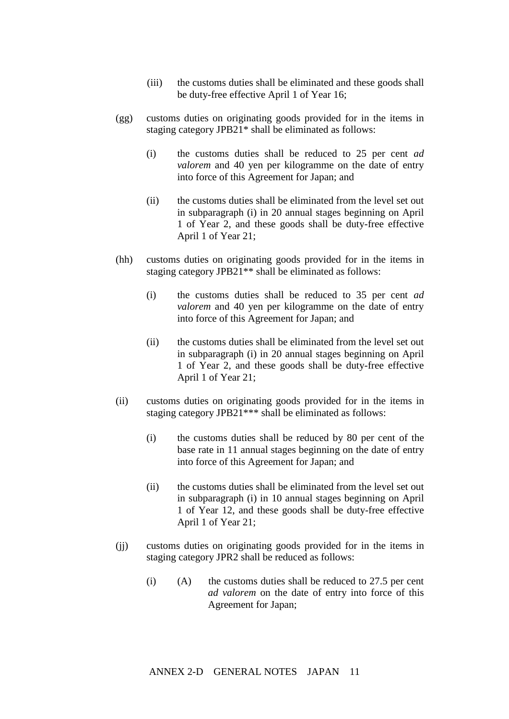- (iii) the customs duties shall be eliminated and these goods shall be duty-free effective April 1 of Year 16;
- (gg) customs duties on originating goods provided for in the items in staging category JPB21\* shall be eliminated as follows:
	- (i) the customs duties shall be reduced to 25 per cent *ad valorem* and 40 yen per kilogramme on the date of entry into force of this Agreement for Japan; and
	- (ii) the customs duties shall be eliminated from the level set out in subparagraph (i) in 20 annual stages beginning on April 1 of Year 2, and these goods shall be duty-free effective April 1 of Year 21;
- (hh) customs duties on originating goods provided for in the items in staging category JPB21\*\* shall be eliminated as follows:
	- (i) the customs duties shall be reduced to 35 per cent *ad valorem* and 40 yen per kilogramme on the date of entry into force of this Agreement for Japan; and
	- (ii) the customs duties shall be eliminated from the level set out in subparagraph (i) in 20 annual stages beginning on April 1 of Year 2, and these goods shall be duty-free effective April 1 of Year 21;
- (ii) customs duties on originating goods provided for in the items in staging category JPB21\*\*\* shall be eliminated as follows:
	- (i) the customs duties shall be reduced by 80 per cent of the base rate in 11 annual stages beginning on the date of entry into force of this Agreement for Japan; and
	- (ii) the customs duties shall be eliminated from the level set out in subparagraph (i) in 10 annual stages beginning on April 1 of Year 12, and these goods shall be duty-free effective April 1 of Year 21;
- (jj) customs duties on originating goods provided for in the items in staging category JPR2 shall be reduced as follows:
	- (i)  $(A)$  the customs duties shall be reduced to 27.5 per cent *ad valorem* on the date of entry into force of this Agreement for Japan;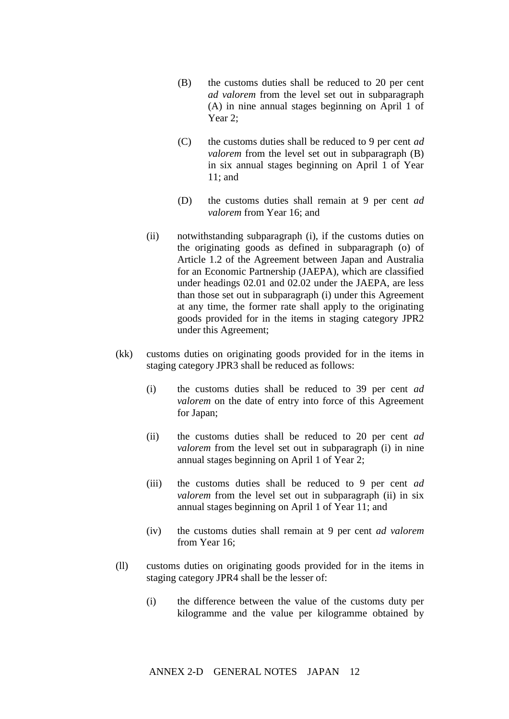- (B) the customs duties shall be reduced to 20 per cent *ad valorem* from the level set out in subparagraph (A) in nine annual stages beginning on April 1 of Year 2;
- (C) the customs duties shall be reduced to 9 per cent *ad valorem* from the level set out in subparagraph (B) in six annual stages beginning on April 1 of Year 11; and
- (D) the customs duties shall remain at 9 per cent *ad valorem* from Year 16; and
- (ii) notwithstanding subparagraph (i), if the customs duties on the originating goods as defined in subparagraph (o) of Article 1.2 of the Agreement between Japan and Australia for an Economic Partnership (JAEPA), which are classified under headings 02.01 and 02.02 under the JAEPA, are less than those set out in subparagraph (i) under this Agreement at any time, the former rate shall apply to the originating goods provided for in the items in staging category JPR2 under this Agreement;
- (kk) customs duties on originating goods provided for in the items in staging category JPR3 shall be reduced as follows:
	- (i) the customs duties shall be reduced to 39 per cent *ad valorem* on the date of entry into force of this Agreement for Japan;
	- (ii) the customs duties shall be reduced to 20 per cent *ad valorem* from the level set out in subparagraph (i) in nine annual stages beginning on April 1 of Year 2;
	- (iii) the customs duties shall be reduced to 9 per cent *ad valorem* from the level set out in subparagraph (ii) in six annual stages beginning on April 1 of Year 11; and
	- (iv) the customs duties shall remain at 9 per cent *ad valorem*  from Year 16;
- (ll) customs duties on originating goods provided for in the items in staging category JPR4 shall be the lesser of:
	- (i) the difference between the value of the customs duty per kilogramme and the value per kilogramme obtained by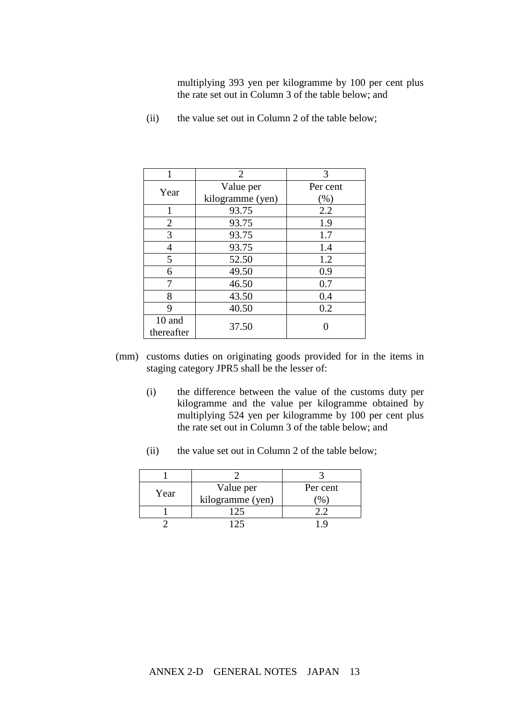multiplying 393 yen per kilogramme by 100 per cent plus the rate set out in Column 3 of the table below; and

| 1              | $\overline{2}$   | 3        |
|----------------|------------------|----------|
| Year           | Value per        | Per cent |
|                | kilogramme (yen) | (% )     |
| 1              | 93.75            | 2.2      |
| $\overline{2}$ | 93.75            | 1.9      |
| 3              | 93.75            | 1.7      |
| 4              | 93.75            | 1.4      |
| 5              | 52.50            | 1.2      |
| 6              | 49.50            | 0.9      |
| 7              | 46.50            | 0.7      |
| 8              | 43.50            | 0.4      |
| 9              | 40.50            | 0.2      |
| 10 and         | 37.50            |          |
| thereafter     |                  |          |

(ii) the value set out in Column 2 of the table below;

- (mm) customs duties on originating goods provided for in the items in staging category JPR5 shall be the lesser of:
	- (i) the difference between the value of the customs duty per kilogramme and the value per kilogramme obtained by multiplying 524 yen per kilogramme by 100 per cent plus the rate set out in Column 3 of the table below; and
	- (ii) the value set out in Column 2 of the table below;

| Year | Value per        | Per cent |
|------|------------------|----------|
|      | kilogramme (yen) |          |
|      |                  |          |
|      |                  |          |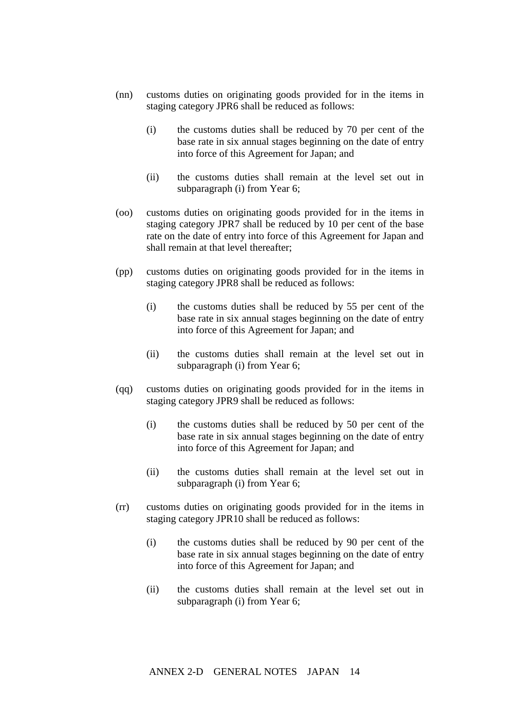- (nn) customs duties on originating goods provided for in the items in staging category JPR6 shall be reduced as follows:
	- (i) the customs duties shall be reduced by 70 per cent of the base rate in six annual stages beginning on the date of entry into force of this Agreement for Japan; and
	- (ii) the customs duties shall remain at the level set out in subparagraph (i) from Year 6;
- (oo) customs duties on originating goods provided for in the items in staging category JPR7 shall be reduced by 10 per cent of the base rate on the date of entry into force of this Agreement for Japan and shall remain at that level thereafter;
- (pp) customs duties on originating goods provided for in the items in staging category JPR8 shall be reduced as follows:
	- (i) the customs duties shall be reduced by 55 per cent of the base rate in six annual stages beginning on the date of entry into force of this Agreement for Japan; and
	- (ii) the customs duties shall remain at the level set out in subparagraph (i) from Year 6;
- (qq) customs duties on originating goods provided for in the items in staging category JPR9 shall be reduced as follows:
	- (i) the customs duties shall be reduced by 50 per cent of the base rate in six annual stages beginning on the date of entry into force of this Agreement for Japan; and
	- (ii) the customs duties shall remain at the level set out in subparagraph (i) from Year 6;
- (rr) customs duties on originating goods provided for in the items in staging category JPR10 shall be reduced as follows:
	- (i) the customs duties shall be reduced by 90 per cent of the base rate in six annual stages beginning on the date of entry into force of this Agreement for Japan; and
	- (ii) the customs duties shall remain at the level set out in subparagraph (i) from Year 6;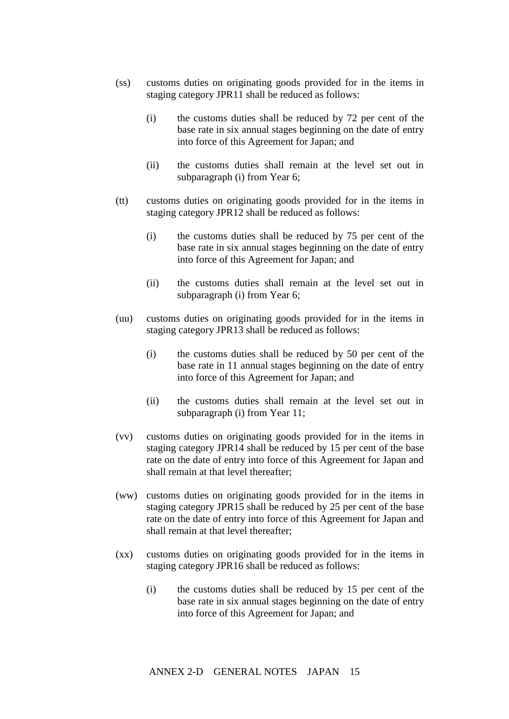- (ss) customs duties on originating goods provided for in the items in staging category JPR11 shall be reduced as follows:
	- (i) the customs duties shall be reduced by 72 per cent of the base rate in six annual stages beginning on the date of entry into force of this Agreement for Japan; and
	- (ii) the customs duties shall remain at the level set out in subparagraph (i) from Year 6;
- (tt) customs duties on originating goods provided for in the items in staging category JPR12 shall be reduced as follows:
	- (i) the customs duties shall be reduced by 75 per cent of the base rate in six annual stages beginning on the date of entry into force of this Agreement for Japan; and
	- (ii) the customs duties shall remain at the level set out in subparagraph (i) from Year 6;
- (uu) customs duties on originating goods provided for in the items in staging category JPR13 shall be reduced as follows:
	- (i) the customs duties shall be reduced by 50 per cent of the base rate in 11 annual stages beginning on the date of entry into force of this Agreement for Japan; and
	- (ii) the customs duties shall remain at the level set out in subparagraph (i) from Year 11;
- (vv) customs duties on originating goods provided for in the items in staging category JPR14 shall be reduced by 15 per cent of the base rate on the date of entry into force of this Agreement for Japan and shall remain at that level thereafter;
- (ww) customs duties on originating goods provided for in the items in staging category JPR15 shall be reduced by 25 per cent of the base rate on the date of entry into force of this Agreement for Japan and shall remain at that level thereafter;
- (xx) customs duties on originating goods provided for in the items in staging category JPR16 shall be reduced as follows:
	- (i) the customs duties shall be reduced by 15 per cent of the base rate in six annual stages beginning on the date of entry into force of this Agreement for Japan; and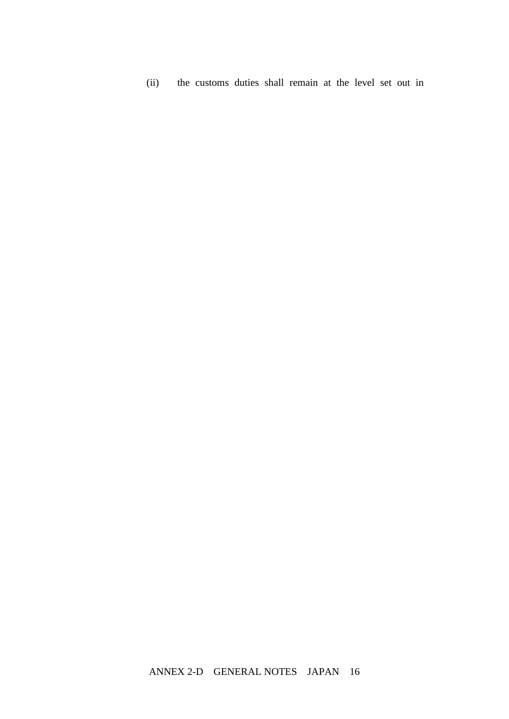(ii) the customs duties shall remain at the level set out in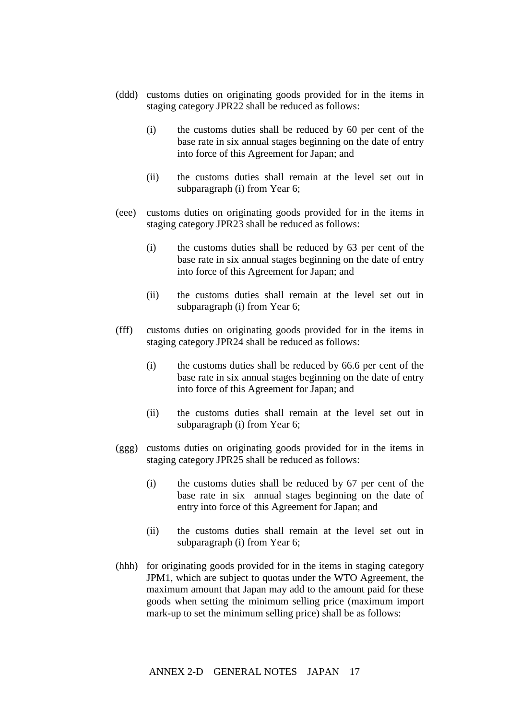- (ddd) customs duties on originating goods provided for in the items in staging category JPR22 shall be reduced as follows:
	- (i) the customs duties shall be reduced by 60 per cent of the base rate in six annual stages beginning on the date of entry into force of this Agreement for Japan; and
	- (ii) the customs duties shall remain at the level set out in subparagraph (i) from Year 6;
- (eee) customs duties on originating goods provided for in the items in staging category JPR23 shall be reduced as follows:
	- (i) the customs duties shall be reduced by 63 per cent of the base rate in six annual stages beginning on the date of entry into force of this Agreement for Japan; and
	- (ii) the customs duties shall remain at the level set out in subparagraph (i) from Year 6;
- (fff) customs duties on originating goods provided for in the items in staging category JPR24 shall be reduced as follows:
	- (i) the customs duties shall be reduced by 66.6 per cent of the base rate in six annual stages beginning on the date of entry into force of this Agreement for Japan; and
	- (ii) the customs duties shall remain at the level set out in subparagraph (i) from Year 6;
- (ggg) customs duties on originating goods provided for in the items in staging category JPR25 shall be reduced as follows:
	- (i) the customs duties shall be reduced by 67 per cent of the base rate in six annual stages beginning on the date of entry into force of this Agreement for Japan; and
	- (ii) the customs duties shall remain at the level set out in subparagraph (i) from Year 6;
- (hhh) for originating goods provided for in the items in staging category JPM1, which are subject to quotas under the WTO Agreement, the maximum amount that Japan may add to the amount paid for these goods when setting the minimum selling price (maximum import mark-up to set the minimum selling price) shall be as follows: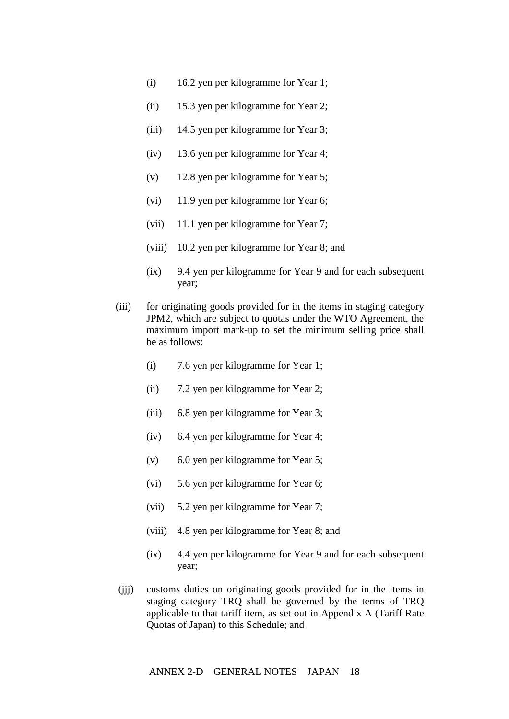- (i) 16.2 yen per kilogramme for Year 1;
- (ii) 15.3 yen per kilogramme for Year 2;
- (iii) 14.5 yen per kilogramme for Year 3;
- (iv) 13.6 yen per kilogramme for Year 4;
- (v) 12.8 yen per kilogramme for Year 5;
- (vi) 11.9 yen per kilogramme for Year 6;
- (vii) 11.1 yen per kilogramme for Year 7;
- (viii) 10.2 yen per kilogramme for Year 8; and
- (ix) 9.4 yen per kilogramme for Year 9 and for each subsequent year;
- (iii) for originating goods provided for in the items in staging category JPM2, which are subject to quotas under the WTO Agreement, the maximum import mark-up to set the minimum selling price shall be as follows:
	- (i) 7.6 yen per kilogramme for Year 1;
	- (ii) 7.2 yen per kilogramme for Year 2;
	- (iii) 6.8 yen per kilogramme for Year 3;
	- (iv) 6.4 yen per kilogramme for Year 4;
	- (v) 6.0 yen per kilogramme for Year 5;
	- (vi) 5.6 yen per kilogramme for Year 6;
	- (vii) 5.2 yen per kilogramme for Year 7;
	- (viii) 4.8 yen per kilogramme for Year 8; and
	- (ix) 4.4 yen per kilogramme for Year 9 and for each subsequent year;
- (jjj) customs duties on originating goods provided for in the items in staging category TRQ shall be governed by the terms of TRQ applicable to that tariff item, as set out in Appendix A (Tariff Rate Quotas of Japan) to this Schedule; and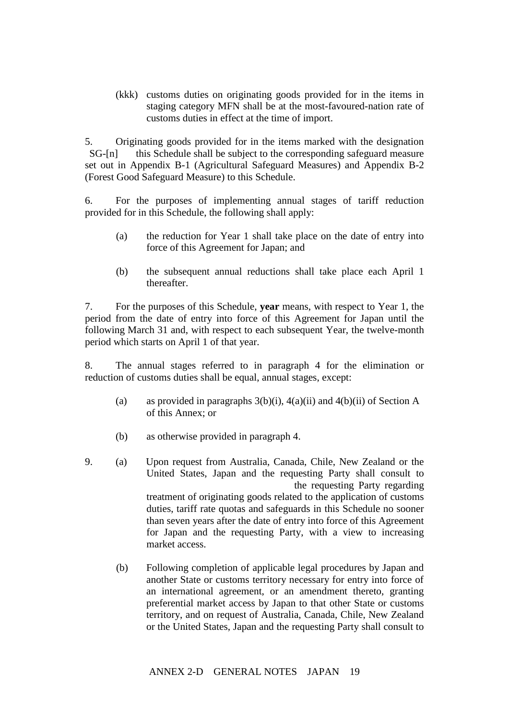(kkk) customs duties on originating goods provided for in the items in staging category MFN shall be at the most-favoured-nation rate of customs duties in effect at the time of import.

5. Originating goods provided for in the items marked with the designation SG-[n] this Schedule shall be subject to the corresponding safeguard measure set out in Appendix B-1 (Agricultural Safeguard Measures) and Appendix B-2 (Forest Good Safeguard Measure) to this Schedule.

6. For the purposes of implementing annual stages of tariff reduction provided for in this Schedule, the following shall apply:

- (a) the reduction for Year 1 shall take place on the date of entry into force of this Agreement for Japan; and
- (b) the subsequent annual reductions shall take place each April 1 thereafter.

7. For the purposes of this Schedule, **year** means, with respect to Year 1, the period from the date of entry into force of this Agreement for Japan until the following March 31 and, with respect to each subsequent Year, the twelve-month period which starts on April 1 of that year.

8. The annual stages referred to in paragraph 4 for the elimination or reduction of customs duties shall be equal, annual stages, except:

- (a) as provided in paragraphs  $3(b)(i)$ ,  $4(a)(ii)$  and  $4(b)(ii)$  of Section A of this Annex; or
- (b) as otherwise provided in paragraph 4.
- 9. (a) Upon request from Australia, Canada, Chile, New Zealand or the United States, Japan and the requesting Party shall consult to the requesting Party regarding treatment of originating goods related to the application of customs duties, tariff rate quotas and safeguards in this Schedule no sooner than seven years after the date of entry into force of this Agreement for Japan and the requesting Party, with a view to increasing market access.
	- (b) Following completion of applicable legal procedures by Japan and another State or customs territory necessary for entry into force of an international agreement, or an amendment thereto, granting preferential market access by Japan to that other State or customs territory, and on request of Australia, Canada, Chile, New Zealand or the United States, Japan and the requesting Party shall consult to